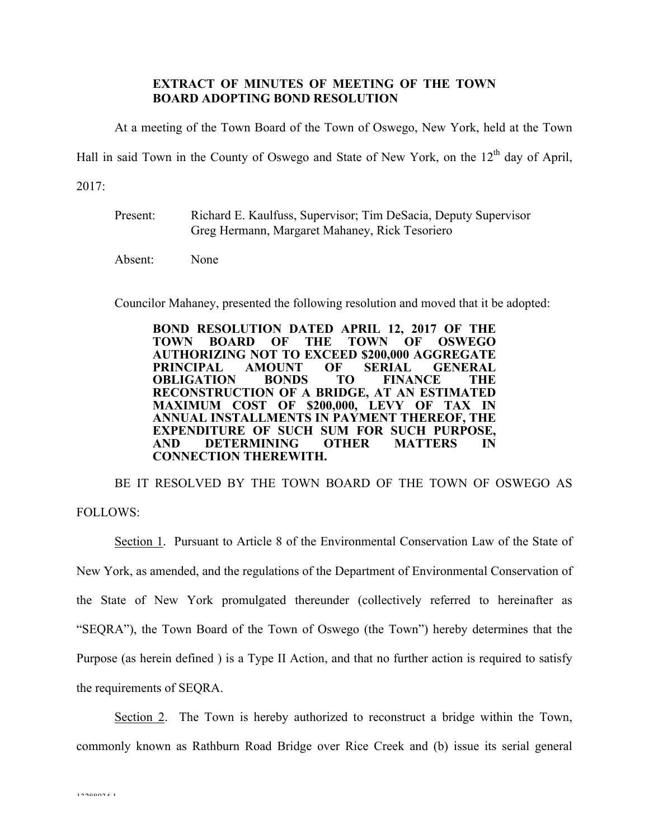## **EXTRACT OF MINUTES OF MEETING OF THE TOWN BOARD ADOPTING BOND RESOLUTION**

At a meeting of the Town Board of the Town of Oswego, New York, held at the Town

Hall in said Town in the County of Oswego and State of New York, on the  $12<sup>th</sup>$  day of April,

2017:

Present: Richard E. Kaulfuss, Supervisor; Tim DeSacia, Deputy Supervisor Greg Hermann, Margaret Mahaney, Rick Tesoriero

Absent: None

Councilor Mahaney, presented the following resolution and moved that it be adopted:

**BOND RESOLUTION DATED APRIL 12, 2017 OF THE TOWN BOARD OF THE TOWN OF OSWEGO AUTHORIZING NOT TO EXCEED \$200,000 AGGREGATE PRINCIPAL AMOUNT OF SERIAL GENERAL OBLIGATION BONDS TO FINANCE THE RECONSTRUCTION OF A BRIDGE, AT AN ESTIMATED MAXIMUM COST OF \$200,000, LEVY OF TAX IN ANNUAL INSTALLMENTS IN PAYMENT THEREOF, THE EXPENDITURE OF SUCH SUM FOR SUCH PURPOSE, AND DETERMINING OTHER MATTERS IN CONNECTION THEREWITH.**

BE IT RESOLVED BY THE TOWN BOARD OF THE TOWN OF OSWEGO AS FOLLOWS:

Section 1. Pursuant to Article 8 of the Environmental Conservation Law of the State of New York, as amended, and the regulations of the Department of Environmental Conservation of the State of New York promulgated thereunder (collectively referred to hereinafter as "SEQRA"), the Town Board of the Town of Oswego (the Town") hereby determines that the Purpose (as herein defined ) is a Type II Action, and that no further action is required to satisfy the requirements of SEQRA.

Section 2. The Town is hereby authorized to reconstruct a bridge within the Town, commonly known as Rathburn Road Bridge over Rice Creek and (b) issue its serial general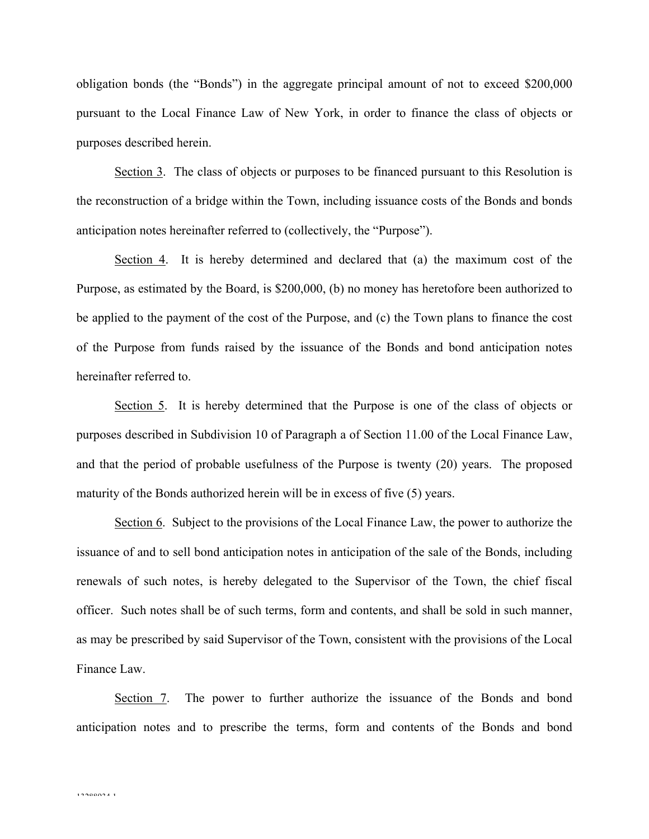obligation bonds (the "Bonds") in the aggregate principal amount of not to exceed \$200,000 pursuant to the Local Finance Law of New York, in order to finance the class of objects or purposes described herein.

Section 3. The class of objects or purposes to be financed pursuant to this Resolution is the reconstruction of a bridge within the Town, including issuance costs of the Bonds and bonds anticipation notes hereinafter referred to (collectively, the "Purpose").

Section 4. It is hereby determined and declared that (a) the maximum cost of the Purpose, as estimated by the Board, is \$200,000, (b) no money has heretofore been authorized to be applied to the payment of the cost of the Purpose, and (c) the Town plans to finance the cost of the Purpose from funds raised by the issuance of the Bonds and bond anticipation notes hereinafter referred to.

Section 5. It is hereby determined that the Purpose is one of the class of objects or purposes described in Subdivision 10 of Paragraph a of Section 11.00 of the Local Finance Law, and that the period of probable usefulness of the Purpose is twenty (20) years. The proposed maturity of the Bonds authorized herein will be in excess of five (5) years.

Section 6. Subject to the provisions of the Local Finance Law, the power to authorize the issuance of and to sell bond anticipation notes in anticipation of the sale of the Bonds, including renewals of such notes, is hereby delegated to the Supervisor of the Town, the chief fiscal officer. Such notes shall be of such terms, form and contents, and shall be sold in such manner, as may be prescribed by said Supervisor of the Town, consistent with the provisions of the Local Finance Law.

Section 7. The power to further authorize the issuance of the Bonds and bond anticipation notes and to prescribe the terms, form and contents of the Bonds and bond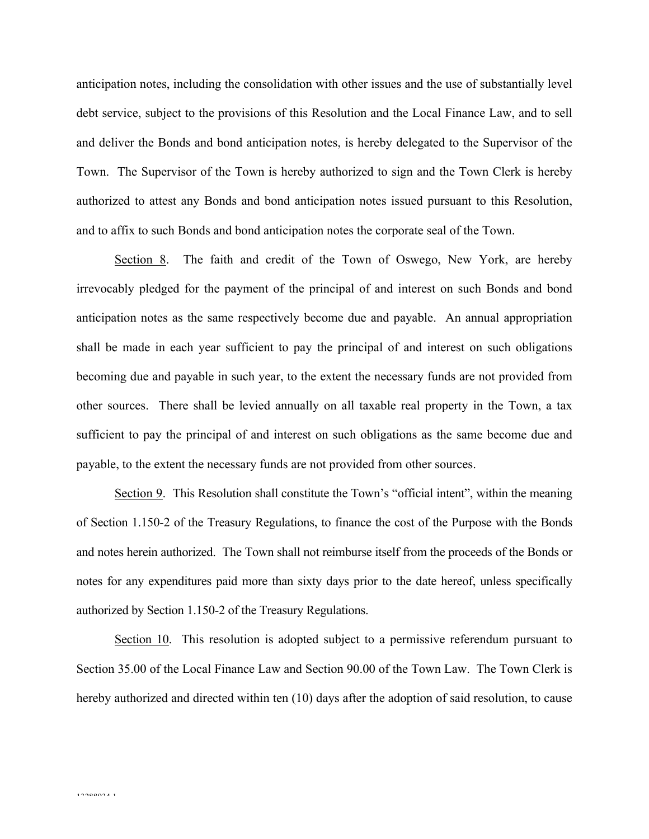anticipation notes, including the consolidation with other issues and the use of substantially level debt service, subject to the provisions of this Resolution and the Local Finance Law, and to sell and deliver the Bonds and bond anticipation notes, is hereby delegated to the Supervisor of the Town. The Supervisor of the Town is hereby authorized to sign and the Town Clerk is hereby authorized to attest any Bonds and bond anticipation notes issued pursuant to this Resolution, and to affix to such Bonds and bond anticipation notes the corporate seal of the Town.

Section 8. The faith and credit of the Town of Oswego, New York, are hereby irrevocably pledged for the payment of the principal of and interest on such Bonds and bond anticipation notes as the same respectively become due and payable. An annual appropriation shall be made in each year sufficient to pay the principal of and interest on such obligations becoming due and payable in such year, to the extent the necessary funds are not provided from other sources. There shall be levied annually on all taxable real property in the Town, a tax sufficient to pay the principal of and interest on such obligations as the same become due and payable, to the extent the necessary funds are not provided from other sources.

Section 9. This Resolution shall constitute the Town's "official intent", within the meaning of Section 1.150-2 of the Treasury Regulations, to finance the cost of the Purpose with the Bonds and notes herein authorized. The Town shall not reimburse itself from the proceeds of the Bonds or notes for any expenditures paid more than sixty days prior to the date hereof, unless specifically authorized by Section 1.150-2 of the Treasury Regulations.

Section 10. This resolution is adopted subject to a permissive referendum pursuant to Section 35.00 of the Local Finance Law and Section 90.00 of the Town Law. The Town Clerk is hereby authorized and directed within ten (10) days after the adoption of said resolution, to cause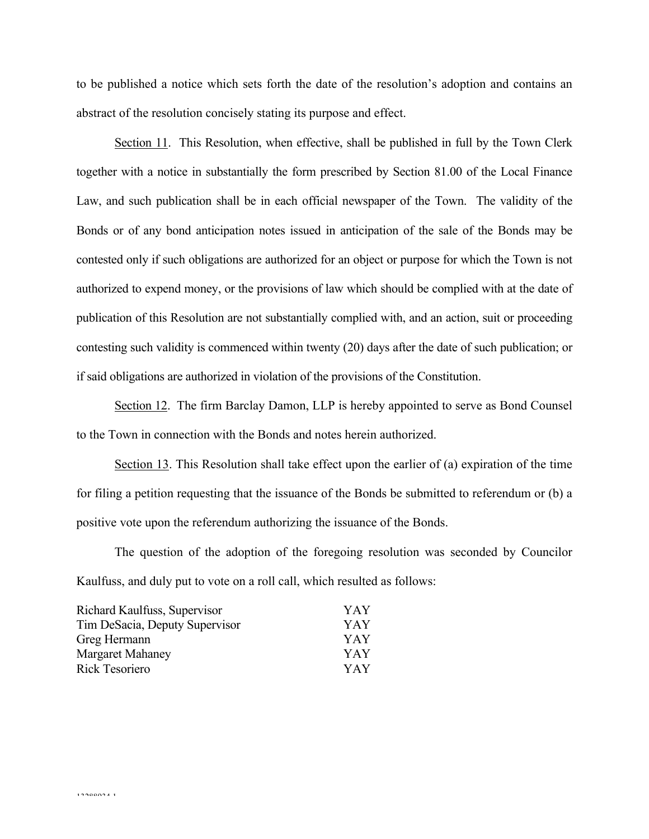to be published a notice which sets forth the date of the resolution's adoption and contains an abstract of the resolution concisely stating its purpose and effect.

Section 11. This Resolution, when effective, shall be published in full by the Town Clerk together with a notice in substantially the form prescribed by Section 81.00 of the Local Finance Law, and such publication shall be in each official newspaper of the Town. The validity of the Bonds or of any bond anticipation notes issued in anticipation of the sale of the Bonds may be contested only if such obligations are authorized for an object or purpose for which the Town is not authorized to expend money, or the provisions of law which should be complied with at the date of publication of this Resolution are not substantially complied with, and an action, suit or proceeding contesting such validity is commenced within twenty (20) days after the date of such publication; or if said obligations are authorized in violation of the provisions of the Constitution.

Section 12. The firm Barclay Damon, LLP is hereby appointed to serve as Bond Counsel to the Town in connection with the Bonds and notes herein authorized.

Section 13. This Resolution shall take effect upon the earlier of (a) expiration of the time for filing a petition requesting that the issuance of the Bonds be submitted to referendum or (b) a positive vote upon the referendum authorizing the issuance of the Bonds.

The question of the adoption of the foregoing resolution was seconded by Councilor Kaulfuss, and duly put to vote on a roll call, which resulted as follows:

| Richard Kaulfuss, Supervisor   | YAY |
|--------------------------------|-----|
| Tim DeSacia, Deputy Supervisor | YAY |
| Greg Hermann                   | YAY |
| <b>Margaret Mahaney</b>        | YAY |
| <b>Rick Tesoriero</b>          | YAY |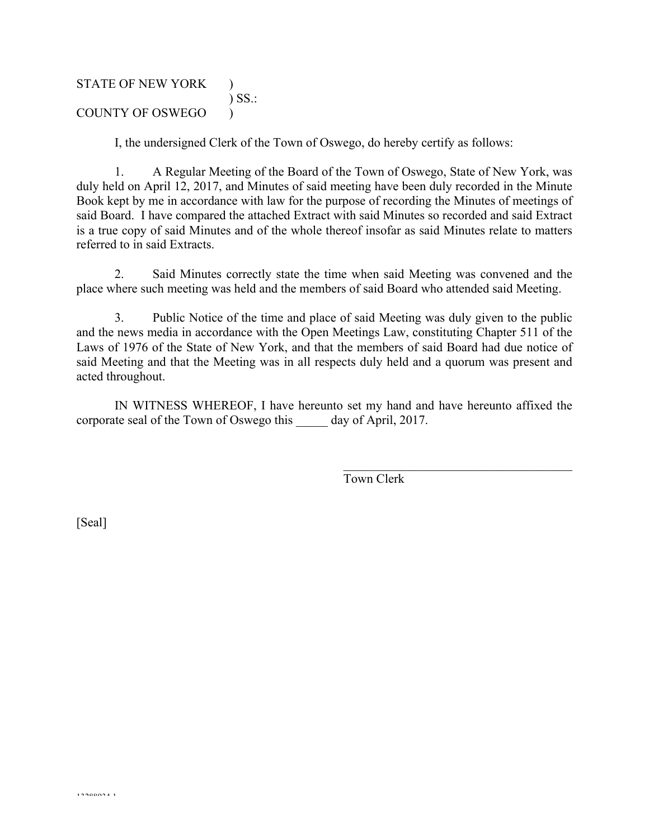# STATE OF NEW YORK ) ) SS.: COUNTY OF OSWEGO )

I, the undersigned Clerk of the Town of Oswego, do hereby certify as follows:

1. A Regular Meeting of the Board of the Town of Oswego, State of New York, was duly held on April 12, 2017, and Minutes of said meeting have been duly recorded in the Minute Book kept by me in accordance with law for the purpose of recording the Minutes of meetings of said Board. I have compared the attached Extract with said Minutes so recorded and said Extract is a true copy of said Minutes and of the whole thereof insofar as said Minutes relate to matters referred to in said Extracts.

2. Said Minutes correctly state the time when said Meeting was convened and the place where such meeting was held and the members of said Board who attended said Meeting.

3. Public Notice of the time and place of said Meeting was duly given to the public and the news media in accordance with the Open Meetings Law, constituting Chapter 511 of the Laws of 1976 of the State of New York, and that the members of said Board had due notice of said Meeting and that the Meeting was in all respects duly held and a quorum was present and acted throughout.

IN WITNESS WHEREOF, I have hereunto set my hand and have hereunto affixed the corporate seal of the Town of Oswego this day of April, 2017.

Town Clerk

 $\mathcal{L}_\text{max}$  , and the set of the set of the set of the set of the set of the set of the set of the set of the set of the set of the set of the set of the set of the set of the set of the set of the set of the set of the

[Seal]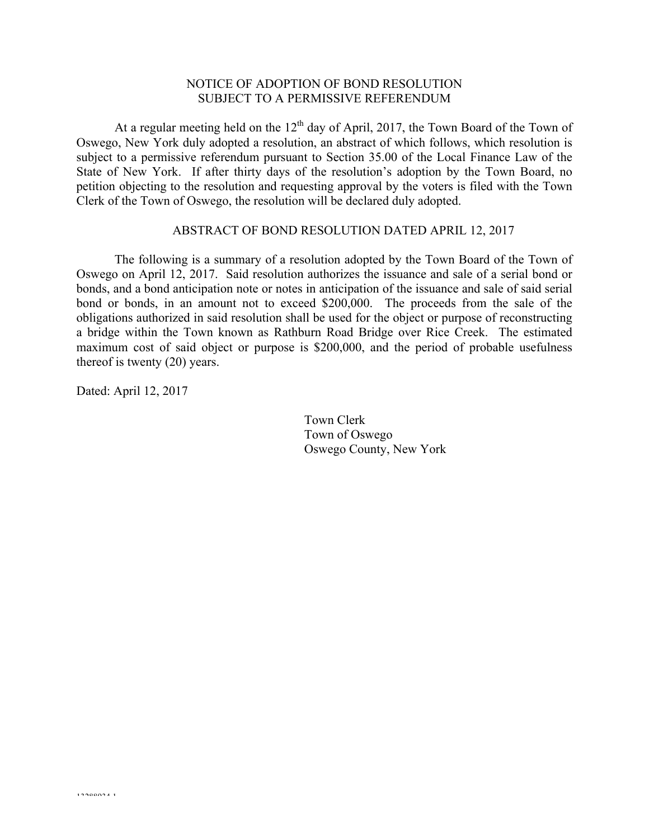### NOTICE OF ADOPTION OF BOND RESOLUTION SUBJECT TO A PERMISSIVE REFERENDUM

At a regular meeting held on the  $12<sup>th</sup>$  day of April, 2017, the Town Board of the Town of Oswego, New York duly adopted a resolution, an abstract of which follows, which resolution is subject to a permissive referendum pursuant to Section 35.00 of the Local Finance Law of the State of New York. If after thirty days of the resolution's adoption by the Town Board, no petition objecting to the resolution and requesting approval by the voters is filed with the Town Clerk of the Town of Oswego, the resolution will be declared duly adopted.

#### ABSTRACT OF BOND RESOLUTION DATED APRIL 12, 2017

The following is a summary of a resolution adopted by the Town Board of the Town of Oswego on April 12, 2017. Said resolution authorizes the issuance and sale of a serial bond or bonds, and a bond anticipation note or notes in anticipation of the issuance and sale of said serial bond or bonds, in an amount not to exceed \$200,000. The proceeds from the sale of the obligations authorized in said resolution shall be used for the object or purpose of reconstructing a bridge within the Town known as Rathburn Road Bridge over Rice Creek. The estimated maximum cost of said object or purpose is \$200,000, and the period of probable usefulness thereof is twenty (20) years.

Dated: April 12, 2017

Town Clerk Town of Oswego Oswego County, New York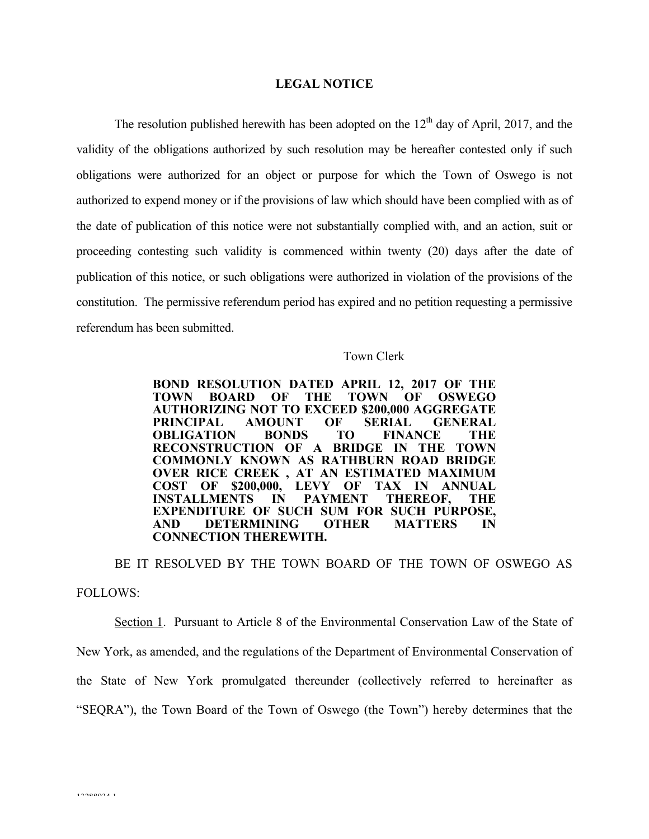#### **LEGAL NOTICE**

The resolution published herewith has been adopted on the  $12<sup>th</sup>$  day of April, 2017, and the validity of the obligations authorized by such resolution may be hereafter contested only if such obligations were authorized for an object or purpose for which the Town of Oswego is not authorized to expend money or if the provisions of law which should have been complied with as of the date of publication of this notice were not substantially complied with, and an action, suit or proceeding contesting such validity is commenced within twenty (20) days after the date of publication of this notice, or such obligations were authorized in violation of the provisions of the constitution. The permissive referendum period has expired and no petition requesting a permissive referendum has been submitted.

#### Town Clerk

**BOND RESOLUTION DATED APRIL 12, 2017 OF THE TOWN BOARD OF THE TOWN OF OSWEGO AUTHORIZING NOT TO EXCEED \$200,000 AGGREGATE PRINCIPAL AMOUNT OF SERIAL GENERAL OBLIGATION BONDS TO FINANCE THE RECONSTRUCTION OF A BRIDGE IN THE TOWN COMMONLY KNOWN AS RATHBURN ROAD BRIDGE OVER RICE CREEK , AT AN ESTIMATED MAXIMUM COST OF \$200,000, LEVY OF INSTALLMENTS IN PAYMENT INSTALLMENTS IN PAYMENT THEREOF, THE EXPENDITURE OF SUCH SUM FOR SUCH PURPOSE, AND DETERMINING OTHER MATTERS IN CONNECTION THEREWITH.**

BE IT RESOLVED BY THE TOWN BOARD OF THE TOWN OF OSWEGO AS FOLLOWS:

Section 1. Pursuant to Article 8 of the Environmental Conservation Law of the State of New York, as amended, and the regulations of the Department of Environmental Conservation of the State of New York promulgated thereunder (collectively referred to hereinafter as "SEQRA"), the Town Board of the Town of Oswego (the Town") hereby determines that the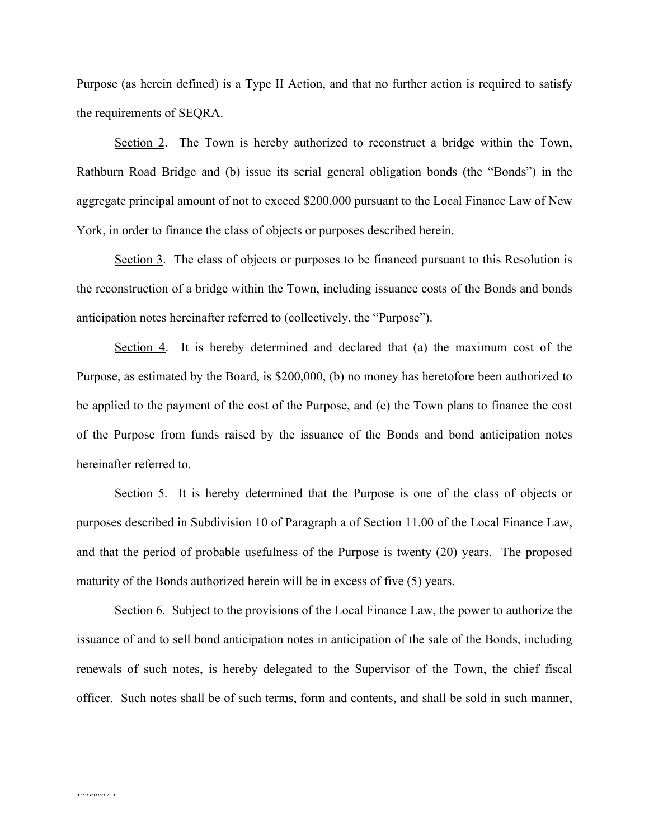Purpose (as herein defined) is a Type II Action, and that no further action is required to satisfy the requirements of SEQRA.

Section 2. The Town is hereby authorized to reconstruct a bridge within the Town, Rathburn Road Bridge and (b) issue its serial general obligation bonds (the "Bonds") in the aggregate principal amount of not to exceed \$200,000 pursuant to the Local Finance Law of New York, in order to finance the class of objects or purposes described herein.

Section 3. The class of objects or purposes to be financed pursuant to this Resolution is the reconstruction of a bridge within the Town, including issuance costs of the Bonds and bonds anticipation notes hereinafter referred to (collectively, the "Purpose").

Section 4. It is hereby determined and declared that (a) the maximum cost of the Purpose, as estimated by the Board, is \$200,000, (b) no money has heretofore been authorized to be applied to the payment of the cost of the Purpose, and (c) the Town plans to finance the cost of the Purpose from funds raised by the issuance of the Bonds and bond anticipation notes hereinafter referred to.

Section 5. It is hereby determined that the Purpose is one of the class of objects or purposes described in Subdivision 10 of Paragraph a of Section 11.00 of the Local Finance Law, and that the period of probable usefulness of the Purpose is twenty (20) years. The proposed maturity of the Bonds authorized herein will be in excess of five (5) years.

Section 6. Subject to the provisions of the Local Finance Law, the power to authorize the issuance of and to sell bond anticipation notes in anticipation of the sale of the Bonds, including renewals of such notes, is hereby delegated to the Supervisor of the Town, the chief fiscal officer. Such notes shall be of such terms, form and contents, and shall be sold in such manner,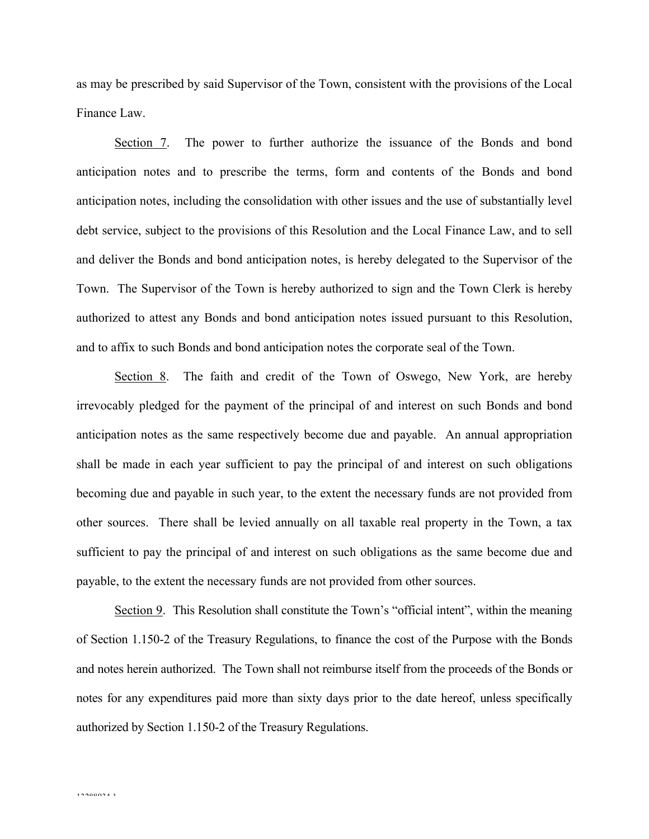as may be prescribed by said Supervisor of the Town, consistent with the provisions of the Local Finance Law.

Section 7. The power to further authorize the issuance of the Bonds and bond anticipation notes and to prescribe the terms, form and contents of the Bonds and bond anticipation notes, including the consolidation with other issues and the use of substantially level debt service, subject to the provisions of this Resolution and the Local Finance Law, and to sell and deliver the Bonds and bond anticipation notes, is hereby delegated to the Supervisor of the Town. The Supervisor of the Town is hereby authorized to sign and the Town Clerk is hereby authorized to attest any Bonds and bond anticipation notes issued pursuant to this Resolution, and to affix to such Bonds and bond anticipation notes the corporate seal of the Town.

Section 8. The faith and credit of the Town of Oswego, New York, are hereby irrevocably pledged for the payment of the principal of and interest on such Bonds and bond anticipation notes as the same respectively become due and payable. An annual appropriation shall be made in each year sufficient to pay the principal of and interest on such obligations becoming due and payable in such year, to the extent the necessary funds are not provided from other sources. There shall be levied annually on all taxable real property in the Town, a tax sufficient to pay the principal of and interest on such obligations as the same become due and payable, to the extent the necessary funds are not provided from other sources.

Section 9. This Resolution shall constitute the Town's "official intent", within the meaning of Section 1.150-2 of the Treasury Regulations, to finance the cost of the Purpose with the Bonds and notes herein authorized. The Town shall not reimburse itself from the proceeds of the Bonds or notes for any expenditures paid more than sixty days prior to the date hereof, unless specifically authorized by Section 1.150-2 of the Treasury Regulations.